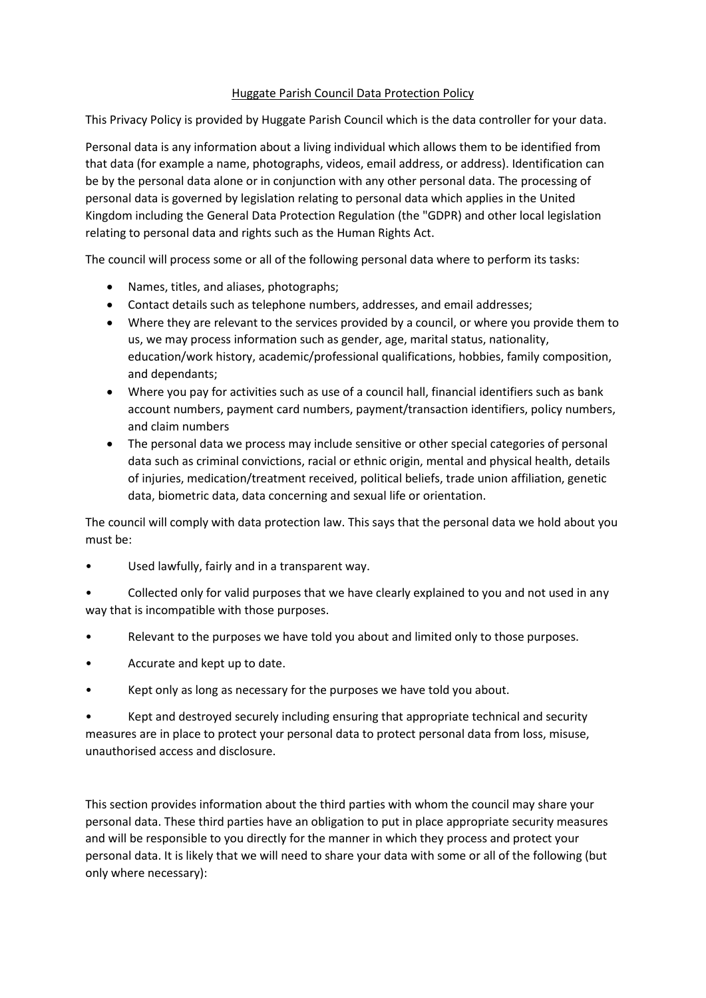## Huggate Parish Council Data Protection Policy

This Privacy Policy is provided by Huggate Parish Council which is the data controller for your data.

Personal data is any information about a living individual which allows them to be identified from that data (for example a name, photographs, videos, email address, or address). Identification can be by the personal data alone or in conjunction with any other personal data. The processing of personal data is governed by legislation relating to personal data which applies in the United Kingdom including the General Data Protection Regulation (the "GDPR) and other local legislation relating to personal data and rights such as the Human Rights Act.

The council will process some or all of the following personal data where to perform its tasks:

- Names, titles, and aliases, photographs;
- Contact details such as telephone numbers, addresses, and email addresses;
- Where they are relevant to the services provided by a council, or where you provide them to us, we may process information such as gender, age, marital status, nationality, education/work history, academic/professional qualifications, hobbies, family composition, and dependants;
- Where you pay for activities such as use of a council hall, financial identifiers such as bank account numbers, payment card numbers, payment/transaction identifiers, policy numbers, and claim numbers
- The personal data we process may include sensitive or other special categories of personal data such as criminal convictions, racial or ethnic origin, mental and physical health, details of injuries, medication/treatment received, political beliefs, trade union affiliation, genetic data, biometric data, data concerning and sexual life or orientation.

The council will comply with data protection law. This says that the personal data we hold about you must be:

- Used lawfully, fairly and in a transparent way.
- Collected only for valid purposes that we have clearly explained to you and not used in any way that is incompatible with those purposes.
- Relevant to the purposes we have told you about and limited only to those purposes.
- Accurate and kept up to date.
- Kept only as long as necessary for the purposes we have told you about.

• Kept and destroyed securely including ensuring that appropriate technical and security measures are in place to protect your personal data to protect personal data from loss, misuse, unauthorised access and disclosure.

This section provides information about the third parties with whom the council may share your personal data. These third parties have an obligation to put in place appropriate security measures and will be responsible to you directly for the manner in which they process and protect your personal data. It is likely that we will need to share your data with some or all of the following (but only where necessary):